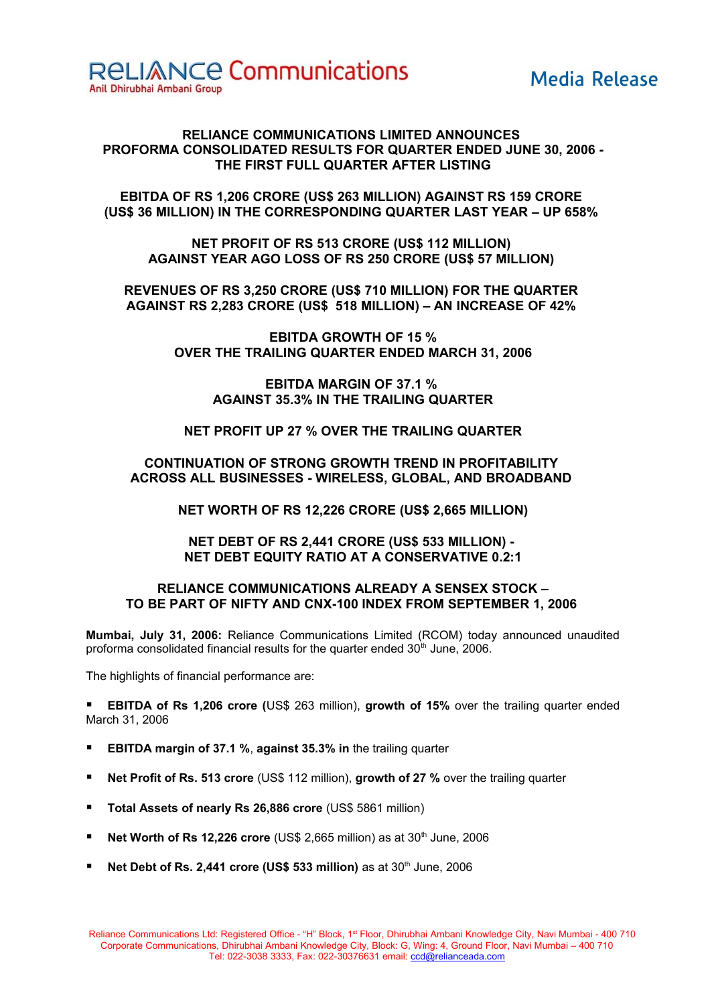# **Media Release**

# **RELIANCE COMMUNICATIONS LIMITED ANNOUNCES PROFORMA CONSOLIDATED RESULTS FOR QUARTER ENDED JUNE 30, 2006 - THE FIRST FULL QUARTER AFTER LISTING**

**EBITDA OF RS 1,206 CRORE (US\$ 263 MILLION) AGAINST RS 159 CRORE (US\$ 36 MILLION) IN THE CORRESPONDING QUARTER LAST YEAR – UP 658%** 

**NET PROFIT OF RS 513 CRORE (US\$ 112 MILLION) AGAINST YEAR AGO LOSS OF RS 250 CRORE (US\$ 57 MILLION)** 

**REVENUES OF RS 3,250 CRORE (US\$ 710 MILLION) FOR THE QUARTER AGAINST RS 2,283 CRORE (US\$ 518 MILLION) – AN INCREASE OF 42%** 

> **EBITDA GROWTH OF 15 % OVER THE TRAILING QUARTER ENDED MARCH 31, 2006**

> > **EBITDA MARGIN OF 37.1 % AGAINST 35.3% IN THE TRAILING QUARTER**

**NET PROFIT UP 27 % OVER THE TRAILING QUARTER**

**CONTINUATION OF STRONG GROWTH TREND IN PROFITABILITY ACROSS ALL BUSINESSES - WIRELESS, GLOBAL, AND BROADBAND** 

**NET WORTH OF RS 12,226 CRORE (US\$ 2,665 MILLION)**

**NET DEBT OF RS 2,441 CRORE (US\$ 533 MILLION) - NET DEBT EQUITY RATIO AT A CONSERVATIVE 0.2:1**

# **RELIANCE COMMUNICATIONS ALREADY A SENSEX STOCK – TO BE PART OF NIFTY AND CNX-100 INDEX FROM SEPTEMBER 1, 2006**

**Mumbai, July 31, 2006:** Reliance Communications Limited (RCOM) today announced unaudited proforma consolidated financial results for the quarter ended  $30<sup>th</sup>$  June, 2006.

The highlights of financial performance are:

 **EBITDA of Rs 1,206 crore (**US\$ 263 million), **growth of 15%** over the trailing quarter ended March 31, 2006

- **EBITDA margin of 37.1 %**, **against 35.3% in** the trailing quarter
- **Net Profit of Rs. 513 crore** (US\$ 112 million), **growth of 27 %** over the trailing quarter
- **Total Assets of nearly Rs 26,886 crore** (US\$ 5861 million)
- **Net Worth of Rs 12,226 crore** (US\$ 2,665 million) as at 30<sup>th</sup> June, 2006
- **Net Debt of Rs. 2,441 crore (US\$ 533 million)** as at 30<sup>th</sup> June, 2006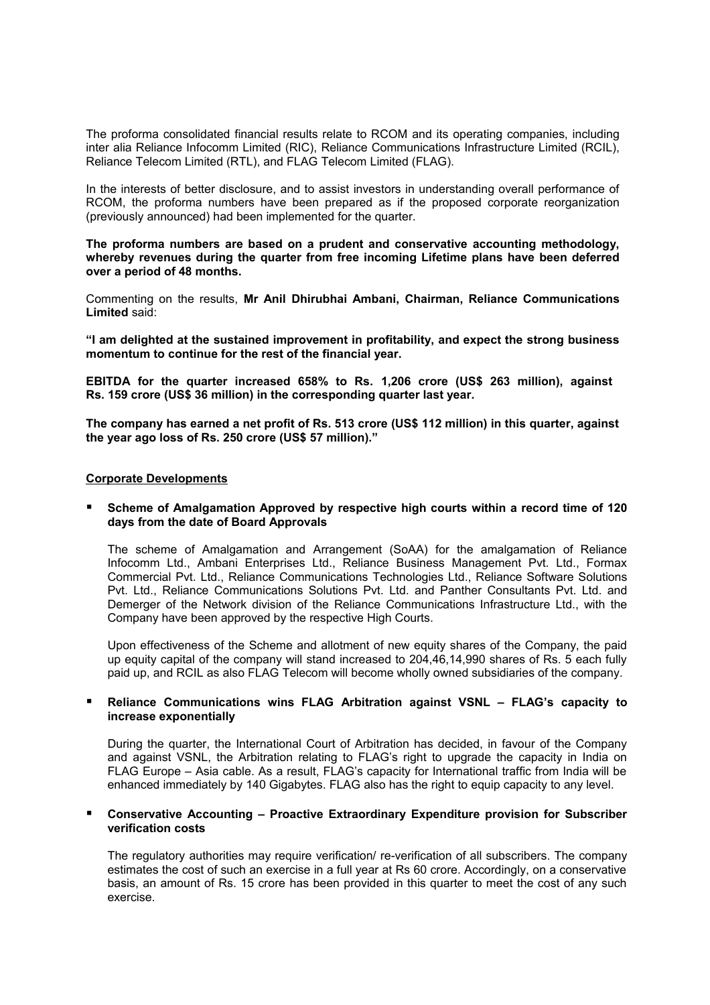The proforma consolidated financial results relate to RCOM and its operating companies, including inter alia Reliance Infocomm Limited (RIC), Reliance Communications Infrastructure Limited (RCIL), Reliance Telecom Limited (RTL), and FLAG Telecom Limited (FLAG).

In the interests of better disclosure, and to assist investors in understanding overall performance of RCOM, the proforma numbers have been prepared as if the proposed corporate reorganization (previously announced) had been implemented for the quarter.

**The proforma numbers are based on a prudent and conservative accounting methodology, whereby revenues during the quarter from free incoming Lifetime plans have been deferred over a period of 48 months.**

Commenting on the results, **Mr Anil Dhirubhai Ambani, Chairman, Reliance Communications Limited** said:

**"I am delighted at the sustained improvement in profitability, and expect the strong business momentum to continue for the rest of the financial year.**

**EBITDA for the quarter increased 658% to Rs. 1,206 crore (US\$ 263 million), against Rs. 159 crore (US\$ 36 million) in the corresponding quarter last year.**

**The company has earned a net profit of Rs. 513 crore (US\$ 112 million) in this quarter, against the year ago loss of Rs. 250 crore (US\$ 57 million)."**

## **Corporate Developments**

# **Scheme of Amalgamation Approved by respective high courts within a record time of 120 days from the date of Board Approvals**

The scheme of Amalgamation and Arrangement (SoAA) for the amalgamation of Reliance Infocomm Ltd., Ambani Enterprises Ltd., Reliance Business Management Pvt. Ltd., Formax Commercial Pvt. Ltd., Reliance Communications Technologies Ltd., Reliance Software Solutions Pvt. Ltd., Reliance Communications Solutions Pvt. Ltd. and Panther Consultants Pvt. Ltd. and Demerger of the Network division of the Reliance Communications Infrastructure Ltd., with the Company have been approved by the respective High Courts.

Upon effectiveness of the Scheme and allotment of new equity shares of the Company, the paid up equity capital of the company will stand increased to 204,46,14,990 shares of Rs. 5 each fully paid up, and RCIL as also FLAG Telecom will become wholly owned subsidiaries of the company.

# **Reliance Communications wins FLAG Arbitration against VSNL – FLAG's capacity to increase exponentially**

During the quarter, the International Court of Arbitration has decided, in favour of the Company and against VSNL, the Arbitration relating to FLAG's right to upgrade the capacity in India on FLAG Europe – Asia cable. As a result, FLAG's capacity for International traffic from India will be enhanced immediately by 140 Gigabytes. FLAG also has the right to equip capacity to any level.

# **Conservative Accounting – Proactive Extraordinary Expenditure provision for Subscriber verification costs**

The regulatory authorities may require verification/ re-verification of all subscribers. The company estimates the cost of such an exercise in a full year at Rs 60 crore. Accordingly, on a conservative basis, an amount of Rs. 15 crore has been provided in this quarter to meet the cost of any such exercise.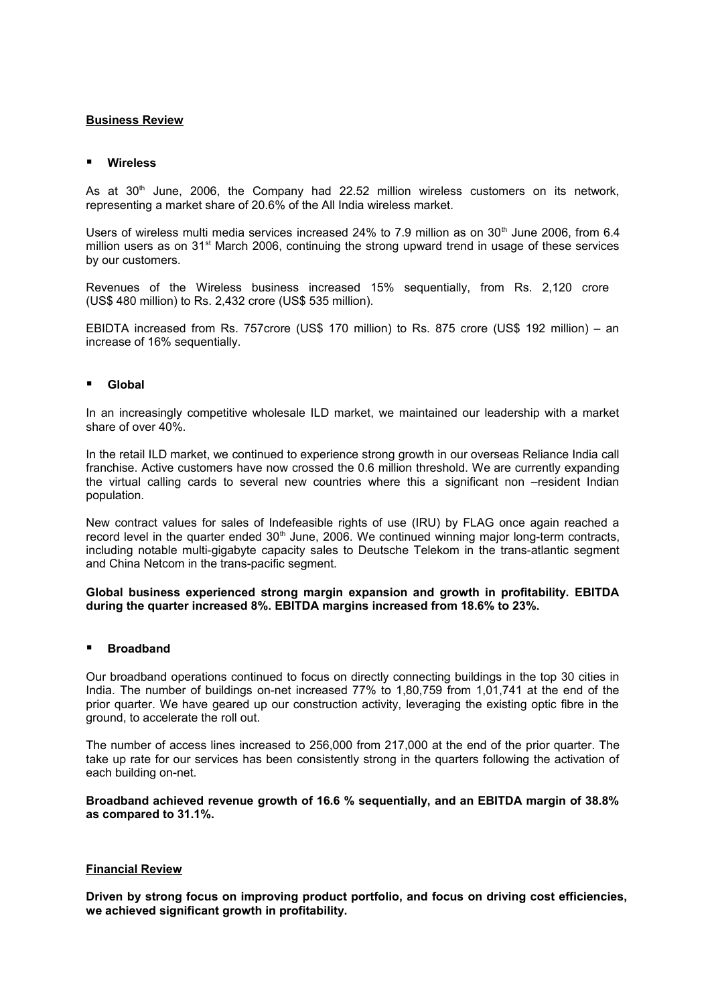# **Business Review**

## **Wireless**

As at  $30<sup>th</sup>$  June, 2006, the Company had 22.52 million wireless customers on its network. representing a market share of 20.6% of the All India wireless market.

Users of wireless multi media services increased 24% to 7.9 million as on 30<sup>th</sup> June 2006, from 6.4 million users as on  $31<sup>st</sup>$  March 2006, continuing the strong upward trend in usage of these services by our customers.

Revenues of the Wireless business increased 15% sequentially, from Rs. 2,120 crore (US\$ 480 million) to Rs. 2,432 crore (US\$ 535 million).

EBIDTA increased from Rs. 757crore (US\$ 170 million) to Rs. 875 crore (US\$ 192 million) – an increase of 16% sequentially.

#### **Global**

In an increasingly competitive wholesale ILD market, we maintained our leadership with a market share of over 40%.

In the retail ILD market, we continued to experience strong growth in our overseas Reliance India call franchise. Active customers have now crossed the 0.6 million threshold. We are currently expanding the virtual calling cards to several new countries where this a significant non –resident Indian population.

New contract values for sales of Indefeasible rights of use (IRU) by FLAG once again reached a record level in the quarter ended  $30<sup>th</sup>$  June, 2006. We continued winning major long-term contracts, including notable multi-gigabyte capacity sales to Deutsche Telekom in the trans-atlantic segment and China Netcom in the trans-pacific segment.

**Global business experienced strong margin expansion and growth in profitability. EBITDA during the quarter increased 8%. EBITDA margins increased from 18.6% to 23%.**

## **Broadband**

Our broadband operations continued to focus on directly connecting buildings in the top 30 cities in India. The number of buildings on-net increased 77% to 1,80,759 from 1,01,741 at the end of the prior quarter. We have geared up our construction activity, leveraging the existing optic fibre in the ground, to accelerate the roll out.

The number of access lines increased to 256,000 from 217,000 at the end of the prior quarter. The take up rate for our services has been consistently strong in the quarters following the activation of each building on-net.

**Broadband achieved revenue growth of 16.6 % sequentially, and an EBITDA margin of 38.8% as compared to 31.1%.**

# **Financial Review**

**Driven by strong focus on improving product portfolio, and focus on driving cost efficiencies, we achieved significant growth in profitability.**